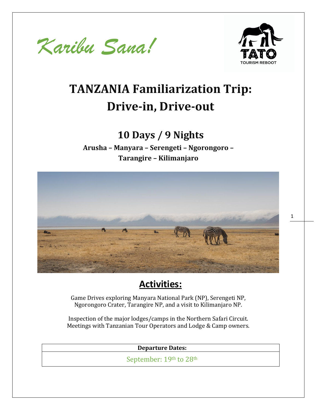



1

# **TANZANIA Familiarization Trip: Drive-in, Drive-out**

# **10 Days / 9 Nights**

**Arusha – Manyara – Serengeti – Ngorongoro – Tarangire – Kilimanjaro**



### **Activities:**

Game Drives exploring Manyara National Park (NP), Serengeti NP, Ngorongoro Crater, Tarangire NP, and a visit to Kilimanjaro NP.

Inspection of the major lodges/camps in the Northern Safari Circuit. Meetings with Tanzanian Tour Operators and Lodge & Camp owners.

**Departure Dates:**

September: 19th to 28th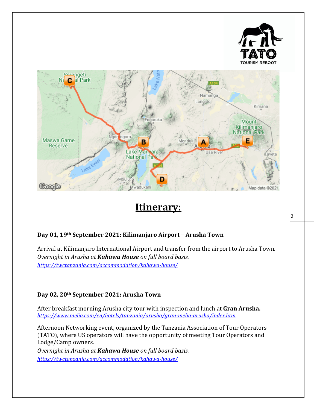

### **Itinerary:**

#### **Day 01, 19th September 2021: Kilimanjaro Airport – Arusha Town**

Arrival at Kilimanjaro International Airport and transfer from the airport to Arusha Town. *Overnight in Arusha at Kahawa House on full board basis. <https://twctanzania.com/accommodation/kahawa-house/>*

#### **Day 02, 20th September 2021: Arusha Town**

After breakfast morning Arusha city tour with inspection and lunch at **Gran Arusha.** *<https://www.melia.com/en/hotels/tanzania/arusha/gran-melia-arusha/index.htm>*

Afternoon Networking event, organized by the Tanzania Association of Tour Operators (TATO), where US operators will have the opportunity of meeting Tour Operators and Lodge/Camp owners.

*Overnight in Arusha at Kahawa House on full board basis. <https://twctanzania.com/accommodation/kahawa-house/>*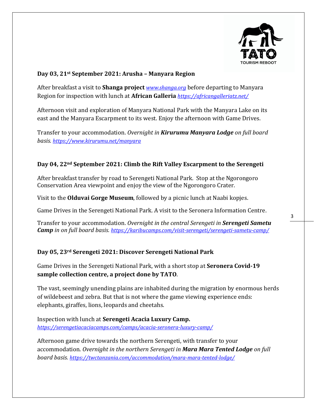

#### **Day 03, 21st September 2021: Arusha – Manyara Region**

After breakfast a visit to **Shanga project** *[www.shanga.org](http://www.shanga.org/)* before departing to Manyara Region for inspection with lunch at **African Galleria** *<https://africangalleriatz.net/>*

Afternoon visit and exploration of Manyara National Park with the Manyara Lake on its east and the Manyara Escarpment to its west. Enjoy the afternoon with Game Drives.

Transfer to your accommodation. *Overnight in Kirurumu Manyara Lodge on full board basis. <https://www.kirurumu.net/manyara>*

#### **Day 04, 22nd September 2021: Climb the Rift Valley Escarpment to the Serengeti**

After breakfast transfer by road to Serengeti National Park. Stop at the Ngorongoro Conservation Area viewpoint and enjoy the view of the Ngorongoro Crater.

Visit to the **Olduvai Gorge Museum**, followed by a picnic lunch at Naabi kopjes.

Game Drives in the Serengeti National Park. A visit to the Seronera Information Centre.

Transfer to your accommodation. *Overnight in the central Serengeti in Serengeti Sametu Camp in on full board basis. <https://karibucamps.com/visit-serengeti/serengeti-sametu-camp/>*

#### **Day 05, 23rd Serengeti 2021: Discover Serengeti National Park**

Game Drives in the Serengeti National Park, with a short stop at **Seronera Covid-19 sample collection centre, a project done by TATO**.

The vast, seemingly unending plains are inhabited during the migration by enormous herds of wildebeest and zebra. But that is not where the game viewing experience ends: elephants, giraffes, lions, leopards and cheetahs.

Inspection with lunch at **Serengeti Acacia Luxury Camp.**  *<https://serengetiacaciacamps.com/camps/acacia-seronera-luxury-camp/>*

Afternoon game drive towards the northern Serengeti, with transfer to your accommodation. *Overnight in the northern Serengeti in Mara Mara Tented Lodge on full board basis. <https://twctanzania.com/accommodation/mara-mara-tented-lodge/>*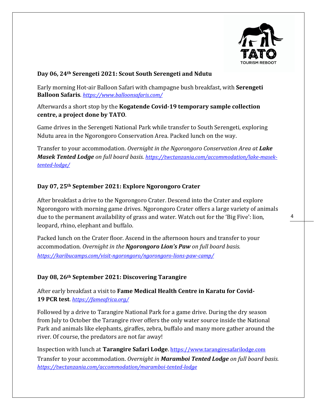

#### **Day 06, 24th Serengeti 2021: Scout South Serengeti and Ndutu**

Early morning Hot-air Balloon Safari with champagne bush breakfast, with **Serengeti Balloon Safaris**. *<https://www.balloonsafaris.com/>*

Afterwards a short stop by the **Kogatende Covid-19 temporary sample collection centre, a project done by TATO**.

Game drives in the Serengeti National Park while transfer to South Serengeti, exploring Ndutu area in the Ngorongoro Conservation Area. Packed lunch on the way.

Transfer to your accommodation. *Overnight in the Ngorongoro Conservation Area at Lake Masek Tented Lodge on full board basis. [https://twctanzania.com/accommodation/lake-masek](https://twctanzania.com/accommodation/lake-masek-tented-lodge/)[tented-lodge/](https://twctanzania.com/accommodation/lake-masek-tented-lodge/)*

#### **Day 07, 25th September 2021: Explore Ngorongoro Crater**

After breakfast a drive to the Ngorongoro Crater. Descend into the Crater and explore Ngorongoro with morning game drives. Ngorongoro Crater offers a large variety of animals due to the permanent availability of grass and water. Watch out for the 'Big Five': lion, leopard, rhino, elephant and buffalo.

Packed lunch on the Crater floor. Ascend in the afternoon hours and transfer to your accommodation. *Overnight in the Ngorongoro Lion's Paw on full board basis. <https://karibucamps.com/visit-ngorongoro/ngorongoro-lions-paw-camp/>*

#### **Day 08, 26th September 2021: Discovering Tarangire**

After early breakfast a visit to **Fame Medical Health Centre in Karatu for Covid-19 PCR test**. *<https://fameafrica.org/>*

Followed by a drive to Tarangire National Park for a game drive. During the dry season from July to October the Tarangire river offers the only water source inside the National Park and animals like elephants, giraffes, zebra, buffalo and many more gather around the river. Of course, the predators are not far away!

Inspection with lunch at **Tarangire Safari Lodge**. [https://www.tarangiresafarilodge.com](https://www.tarangiresafarilodge.com/) Transfer to your accommodation. *Overnight in Maramboi Tented Lodge on full board basis. <https://twctanzania.com/accommodation/maramboi-tented-lodge>*

4